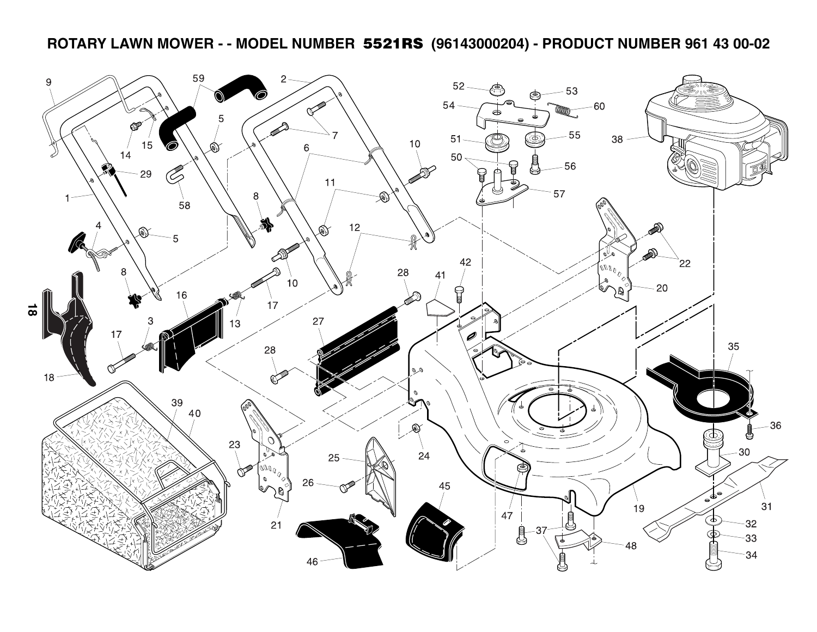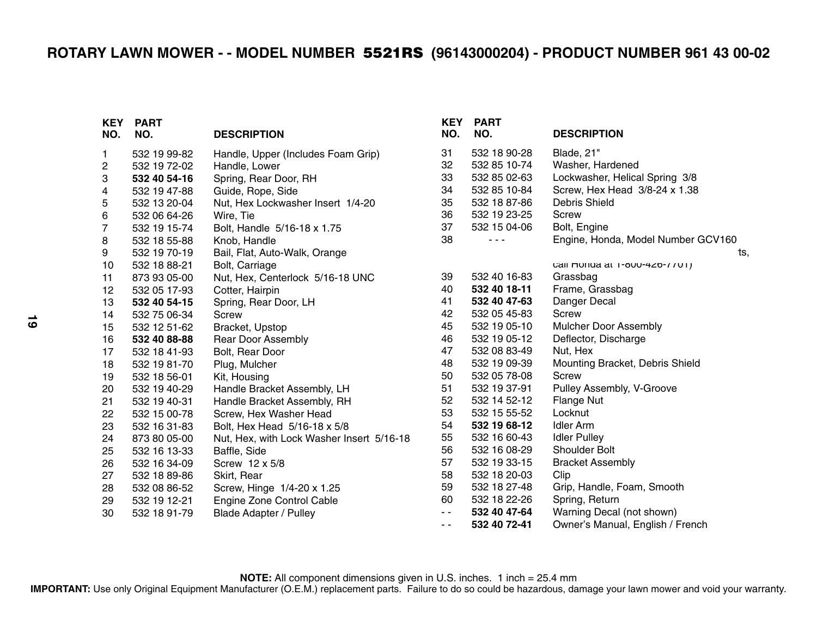| <b>KEY</b><br>NO. | <b>PART</b><br>NO. | <b>DESCRIPTION</b>                        | <b>KEY</b><br>NO. | <b>PART</b><br>NO. | <b>DESCRIPTION</b>                 |
|-------------------|--------------------|-------------------------------------------|-------------------|--------------------|------------------------------------|
| 1.                | 532 19 99-82       | Handle, Upper (Includes Foam Grip)        | 31                | 532 18 90-28       | Blade, 21"                         |
| 2                 | 532 19 72-02       | Handle, Lower                             | 32                | 532 85 10-74       | Washer, Hardened                   |
| 3                 | 532 40 54-16       | Spring, Rear Door, RH                     | 33                | 532 85 02-63       | Lockwasher, Helical Spring 3/8     |
| 4                 | 532 19 47-88       | Guide, Rope, Side                         | 34                | 532 85 10-84       | Screw, Hex Head 3/8-24 x 1.38      |
| 5                 | 532 13 20-04       | Nut, Hex Lockwasher Insert 1/4-20         | 35                | 532 18 87-86       | Debris Shield                      |
| 6                 | 532 06 64-26       | Wire, Tie                                 | 36                | 532 19 23-25       | Screw                              |
| 7                 | 532 19 15-74       | Bolt, Handle 5/16-18 x 1.75               | 37                | 532 15 04-06       | Bolt, Engine                       |
| 8                 | 532 18 55-88       | Knob, Handle                              | 38                | - - -              | Engine, Honda, Model Number GCV160 |
| 9                 | 532 19 70-19       | Bail, Flat, Auto-Walk, Orange             |                   |                    | ts,                                |
| 10                | 532 18 88-21       | Bolt, Carriage                            |                   |                    | Call muriud at 1-000-420-7701)     |
| 11                | 873 93 05-00       | Nut, Hex, Centerlock 5/16-18 UNC          | 39                | 532 40 16-83       | Grassbag                           |
| 12                | 532 05 17-93       | Cotter, Hairpin                           | 40                | 532 40 18-11       | Frame, Grassbag                    |
| 13                | 532 40 54-15       | Spring, Rear Door, LH                     | 41                | 532 40 47-63       | Danger Decal                       |
| 14                | 532 75 06-34       | Screw                                     | 42                | 532 05 45-83       | <b>Screw</b>                       |
| 15                | 532 12 51-62       | Bracket, Upstop                           | 45                | 532 19 05-10       | Mulcher Door Assembly              |
| 16                | 532 40 88-88       | <b>Rear Door Assembly</b>                 | 46                | 532 19 05-12       | Deflector, Discharge               |
| 17                | 532 18 41-93       | Bolt, Rear Door                           | 47                | 532 08 83-49       | Nut, Hex                           |
| 18                | 532 19 81-70       | Plug, Mulcher                             | 48                | 532 19 09-39       | Mounting Bracket, Debris Shield    |
| 19                | 532 18 56-01       | Kit, Housing                              | 50                | 532 05 78-08       | <b>Screw</b>                       |
| 20                | 532 19 40-29       | Handle Bracket Assembly, LH               | 51                | 532 19 37-91       | Pulley Assembly, V-Groove          |
| 21                | 532 19 40-31       | Handle Bracket Assembly, RH               | 52                | 532 14 52-12       | Flange Nut                         |
| 22                | 532 15 00-78       | Screw, Hex Washer Head                    | 53                | 532 15 55-52       | Locknut                            |
| 23                | 532 16 31-83       | Bolt, Hex Head 5/16-18 x 5/8              | 54                | 532 19 68-12       | <b>Idler Arm</b>                   |
| 24                | 873 80 05-00       | Nut, Hex, with Lock Washer Insert 5/16-18 | 55                | 532 16 60-43       | <b>Idler Pulley</b>                |
| 25                | 532 16 13-33       | Baffle, Side                              | 56                | 532 16 08-29       | <b>Shoulder Bolt</b>               |
| 26                | 532 16 34-09       | Screw 12 x 5/8                            | 57                | 532 19 33-15       | <b>Bracket Assembly</b>            |
| 27                | 532 18 89-86       | Skirt, Rear                               | 58                | 532 18 20-03       | Clip                               |
| 28                | 532 08 86-52       | Screw, Hinge 1/4-20 x 1.25                | 59                | 532 18 27-48       | Grip, Handle, Foam, Smooth         |
| 29                | 532 19 12-21       | Engine Zone Control Cable                 | 60                | 532 18 22-26       | Spring, Return                     |
| 30                | 532 18 91-79       | <b>Blade Adapter / Pulley</b>             | $\sim$ $\sim$     | 532 40 47-64       | Warning Decal (not shown)          |
|                   |                    |                                           | $\sim$ $\sim$     | 532 40 72-41       | Owner's Manual, English / French   |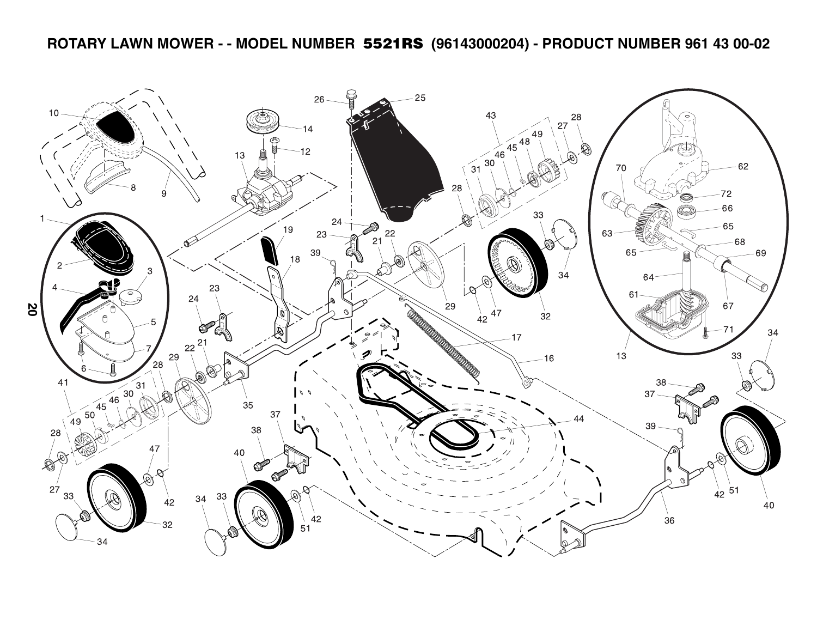